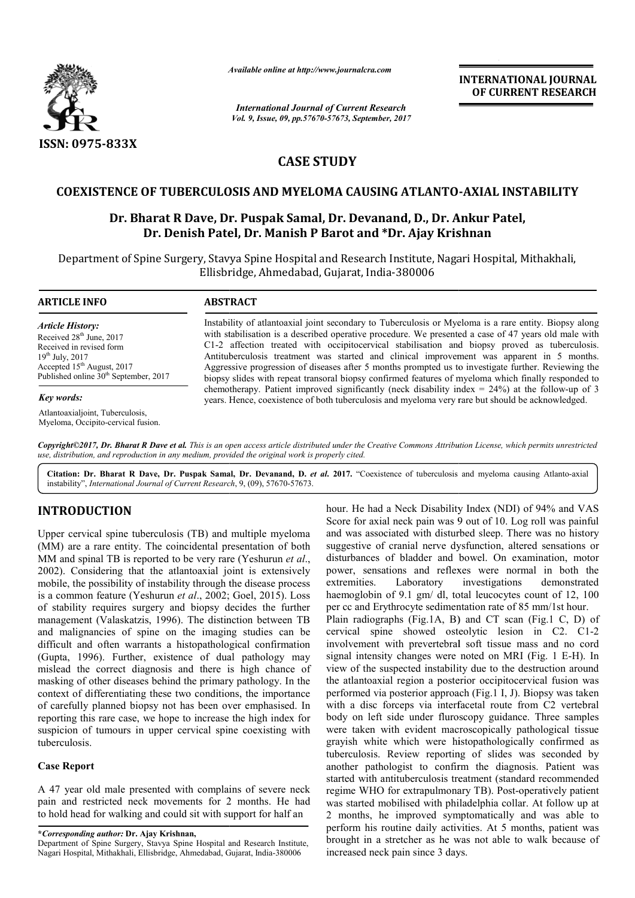

*Available online at http://www.journalcra.com*

*International Journal of Current Research Vol. 9, Issue, 09, pp.57670-57673, September, 2017* **INTERNATIONAL JOURNAL OF CURRENT RESEARCH**

# **CASE STUDY**

### **COEXISTENCE OF TUBERCULOSIS AND MYELOMA CAUSING ATLANTO ATLANTO--AXIAL INSTABILITY**

## **Dr. Bharat R Dave, Dr. Puspak Samal, Dr. Devanand, D., Dr. Ankur Patel,<br>Dr. Denish Patel, Dr. Manish P Barot and \*Dr. Ajay Krishnan Dr. Denish Patel, Dr Dr. Manish P Barot and \*Dr. Ajay Krishnan**

Department of Spine Surgery, Stavya Spine Hospital and Research Institute, Nagari Hospital, Mithakhali, Ellisbridge, Ahmedabad, Gujarat, India-380006

| <b>ARTICLE INFO</b>                                                                                                                                                                                                | <b>ABSTRACT</b>                                                                                                                                                                                                                                                                                                                                                                                                                                                                                                                                                                                                           |
|--------------------------------------------------------------------------------------------------------------------------------------------------------------------------------------------------------------------|---------------------------------------------------------------------------------------------------------------------------------------------------------------------------------------------------------------------------------------------------------------------------------------------------------------------------------------------------------------------------------------------------------------------------------------------------------------------------------------------------------------------------------------------------------------------------------------------------------------------------|
| <b>Article History:</b><br>Received 28 <sup>th</sup> June, 2017<br>Received in revised form<br>$19^{th}$ July, 2017<br>Accepted 15 <sup>th</sup> August, 2017<br>Published online 30 <sup>th</sup> September, 2017 | Instability of atlantoaxial joint secondary to Tuberculosis or Myeloma is a rare entity. Biopsy along<br>with stabilisation is a described operative procedure. We presented a case of 47 years old male with<br>C1-2 affection treated with occipitocervical stabilisation and biopsy proved as tuberculosis.<br>Antituberculosis treatment was started and clinical improvement was apparent in 5 months.<br>Aggressive progression of diseases after 5 months prompted us to investigate further. Reviewing the<br>biopsy slides with repeat transoral biopsy confirmed features of myeloma which finally responded to |
| <b>Key words:</b>                                                                                                                                                                                                  | chemotherapy. Patient improved significantly (neck disability index = $24\%$ ) at the follow-up of 3<br>years. Hence, coexistence of both tuberculosis and myeloma very rare but should be acknowledged.                                                                                                                                                                                                                                                                                                                                                                                                                  |
| Atlantoaxialjoint, Tuberculosis,                                                                                                                                                                                   |                                                                                                                                                                                                                                                                                                                                                                                                                                                                                                                                                                                                                           |

Copyright©2017, Dr. Bharat R Dave et al. This is an open access article distributed under the Creative Commons Attribution License, which permits unrestricted *use, distribution, and reproduction in any medium, provided the original work is properly cited.*

Citation: Dr. Bharat R Dave, Dr. Puspak Samal, Dr. Devanand, D. et al. 2017. "Coexistence of tuberculosis and myeloma causing Atlanto-axial instability", *International Journal of Current Research* , 9, (09), 57670-57673.

## **INTRODUCTION**

Myeloma, Occipito-cervical fusion.

Upper cervical spine tuberculosis (TB) and multiple myeloma (MM) are a rare entity. The coincidental presentation of both MM and spinal TB is reported to be very rare (Yeshurun *et al*., 2002). Considering that the atlantoaxial joint is extensively mobile, the possibility of instability through the disease process is a common feature (Yeshurun *et al*., 2002; Goel, 2015). Loss of stability requires surgery and biopsy decides the further management (Valaskatzis, 1996). The distinction between TB and malignancies of spine on the imaging studies can be difficult and often warrants a histopathological confirmation (Gupta, 1996). Further, existence of dual pathology may mislead the correct diagnosis and there is high chance of masking of other diseases behind the primary pathology. In the context of differentiating these two conditions, the importance of carefully planned biopsy not has been over emphasised. In reporting this rare case, we hope to increase the high index for suspicion of tumours in upper cervical spine coexisting with tuberculosis.

### **Case Report**

A 47 year old male presented with complains of severe neck pain and restricted neck movements for 2 months. He had to hold head for walking and could sit with support for half an e the high index f<br>ine coexisting wi<br>ains of severe ne<br>2 months. He h<br>support for half ar<br>and Research Institu<br>Gujarat, India-380006

**\****Corresponding author:* **Dr. Ajay Krishnan,** Department of Spine Surgery, Stavya Spine Hospital and Research Institute,

Nagari Hospital, Mithakhali, Ellisbridge, Ahmedabad, Gujarat, India

hour. He had a Neck Disability Index (NDI) of 94% and VAS Score for axial neck pain was 9 out of 10. Log roll was painful and was associated with disturbed sleep. There was no history suggestive of cranial nerve dysfunction, altered sensations or disturbances of bladder and bowel. On examination, motor power, sensations and reflexes were normal in both the extremities. Laboratory investigations demonstrated haemoglobin of 9.1 gm/ dl, total leucocytes count of 12, 100 per cc and Erythrocyte sedimentation rate of 85 mm/1st hour. Plain radiographs (Fig.1A, B) and CT scan (Fig.1 C, D) of Plain radiographs (Fig.1A, B) and CT scan (Fig.1 C, D) of cervical spine showed osteolytic lesion in C2. C1-2 involvement with prevertebral soft tissue mass and no cord involvement with prevertebral soft tissue mass and no cord signal intensity changes were noted on MRI (Fig. 1 E-H). In view of the suspected instability due to the destruction around view of the suspected instability due to the destruction around<br>the atlantoaxial region a posterior occipitocervical fusion was performed via posterior approach (Fig.1 I, J). Biopsy was taken with a disc forceps via interfacetal route from C2 vertebral body on left side under fluroscopy guidance. Three samples were taken with evident macroscopically pathological tissue grayish white which were histopathologically confirmed as tuberculosis. Review reporting of slides was seconded by another pathologist to confirm the diagnosis. Patient was started with antituberculosis treatment (standard recommended regime WHO for extrapulmonary TB). Post-operatively patient was started mobilised with philadelphia collar. At follow up at 2 months, he improved symptomatically and was able to perform his routine daily activities. At 5 months, patient was brought in a stretcher as he was not able to walk because of increased neck pain since 3 days. r. He had a Neck Disability Index (NDI) of 94% and VAS<br>re for axial neck pain was 9 out of 10. Log roll was painful<br>was associated with disturbed sleep. There was no history<br>gestive of cranial nerve dysfunction, altered se a disc forceps via interfacetal route from C2 vertebral<br>on left side under fluroscopy guidance. Three samples<br>taken with evident macroscopically pathological tissue<br>sh white which were histopathologically confirmed as<br>culo rongonal method of the control of the state of the state of the state of the state of the state of the state of the state of the state of the state of the state of the state of the state of the state of the state of the s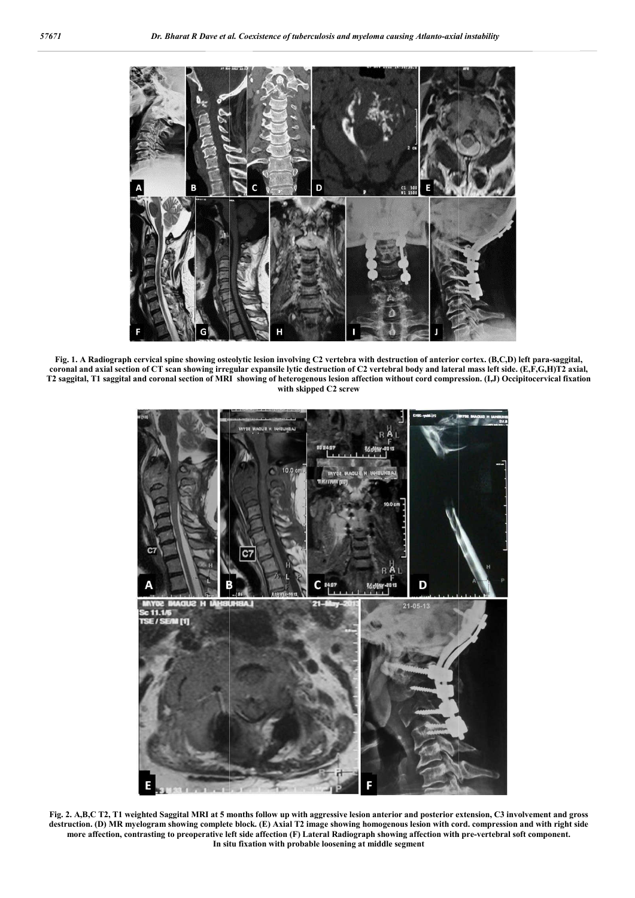

Fig. 1. A Radiograph cervical spine showing osteolytic lesion involving C2 vertebra with destruction of anterior cortex. (B,C,D) left para-saggital, coronal and axial section of CT scan showing irregular expansile lytic destruction of C2 vertebral body and lateral mass left side. (E,F,G,H)T2 axial. T2 saggital, T1 saggital and coronal section of MRI showing of heterogenous lesion affection without cord compression. (I,J) Occipitocervical fixation **with skipped C2 screw**



Fig. 2. A,B,C T2, T1 weighted Saggital MRI at 5 months follow up with aggressive lesion anterior and posterior extension, C3 involvement and gross destruction. (D) MR myelogram showing complete block. (E) Axial T2 image showing homogenous lesion with cord. compression and with right side more affection, contrasting to preoperative left side affection (F) Lateral Radiograph showing affection with pre-vertebral soft component. **In situ fixation with probable loosening at middle segment**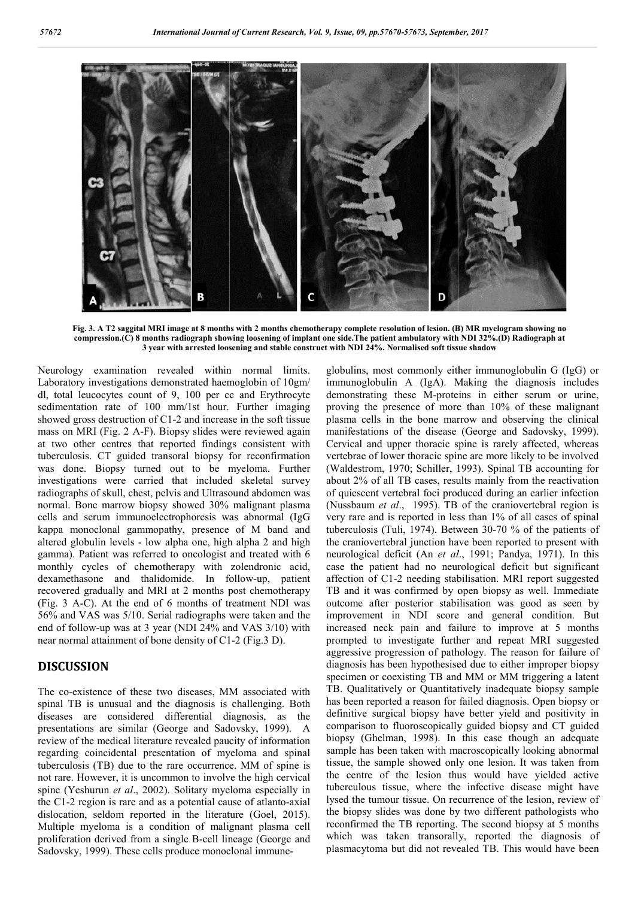

Fig. 3. A T2 saggital MRI image at 8 months with 2 months chemotherapy complete resolution of lesion. (B) compression.(C) 8 months radiograph showing loosening of implant one side. The patient ambulatory with NDI 32%.(D) Radiograph at **3 year with arrested loosening and stable construct with NDI 24%. Normalised soft tissue shadow**

Neurology examination revealed within normal limits. Laboratory investigations demonstrated haemoglobin of 10gm/ dl, total leucocytes count of 9, 100 per cc and Erythrocyte sedimentation rate of 100 mm/1st hour. Further imaging showed gross destruction of C1-2 and increase in the soft tissue mass on MRI (Fig. 2 A-F). Biopsy slides were reviewed again at two other centres that reported findings consistent with tuberculosis. CT guided transoral biopsy for reconfirmation was done. Biopsy turned out to be myeloma. Further investigations were carried that included skeletal survey radiographs of skull, chest, pelvis and Ultrasound abdomen was normal. Bone marrow biopsy showed 30% malignant plasma cells and serum immunoelectrophoresis was abnormal (IgG kappa monoclonal gammopathy, presence of M band and altered globulin levels - low alpha one, high alpha 2 and high gamma). Patient was referred to oncologist and treated with 6 monthly cycles of chemotherapy with zolendronic acid, dexamethasone and thalidomide. In follow-up, patient recovered gradually and MRI at 2 months post chemotherapy (Fig. 3 A-C). At the end of 6 months of treatment NDI was 56% and VAS was 5/10. Serial radiographs were taken and the (Fig. 3 A-C). At the end of 6 months of treatment NDI was 56% and VAS was 5/10. Serial radiographs were taken and the end of follow-up was at 3 year (NDI 24% and VAS 3/10) with near normal attainment of bone density of C1-2 (Fig.3 D). 1 of C1-2 and increase in the soft tissue<br>F). Biopsy slides were reviewed again<br>nat reported findings consistent with<br>1 transoral biopsy for reconfirmation<br>rned out to be myeloma. Further<br>rried that included skeletal surve

### **DISCUSSION**

The co-existence of these two diseases, MM associated with spinal TB is unusual and the diagnosis is challenging. Both diseases are considered differential diagnosis, as the The co-existence of these two diseases, MM associated with spinal TB is unusual and the diagnosis is challenging. Both diseases are considered differential diagnosis, as the presentations are similar (George and Sadovsky, review of the medical literature revealed paucity of information regarding coincidental presentation of myeloma and spinal tuberculosis (TB) due to the rare occurrence. MM of spine is not rare. However, it is uncommon to involve the high cervical spine (Yeshurun *et al*., 2002). Solitary myeloma especially in spine (Yeshurun *et al.*, 2002). Solitary myeloma especially in the C1-2 region is rare and as a potential cause of atlanto-axial dislocation, seldom reported in the literature (Goel, 2015). Multiple myeloma is a condition of malignant plasma cell Multiple myeloma is a condition of malignant plasma cell<br>proliferation derived from a single B-cell lineage (George and Sadovsky, 1999). These cells produce monoclonal immuneglobulins, most commonly either immunoglobulin G (IgG) or immunoglobulin A (IgA). Making the diagnosis includes demonstrating these M-proteins in either serum or urine, proving the presence of more than 10% of these malignant plasma cells in the bone marrow and observing the clinical manifestations of the disease (George and Sadovsky, 1999). Cervical and upper thoracic spine is rarely affected, whereas vertebrae of lower thoracic spine are more likely to be involved (Waldestrom, 1970; Schiller, 1993). Spinal TB accounting for about 2% of all TB cases, results mainly from the reactivation of quiescent vertebral foci produced during an earlier infection (Nussbaum *et al*., 1995). TB of the craniovertebral region is very rare and is reported in less than 1% of all cases of spinal of quiescent vertebral foci produced during an earlier infection (Nussbaum *et al.*, 1995). TB of the craniovertebral region is very rare and is reported in less than 1% of all cases of spinal tuberculosis (Tuli, 1974). B the craniovertebral junction have been reported to present with neurological deficit (An et al., 1991; Pandya, 1971). In this case the patient had no neurological deficit but significant case the patient had no neurological deficit but significant affection of C1-2 needing stabilisation. MRI report suggested TB and it was confirmed by open biopsy as well. Immediate outcome after posterior stabilisation was good as seen by improvement in NDI score and general condition. But increased neck pain and failure to improve at 5 months prompted to investigate further and repeat MRI suggested aggressive progression of pathology. The reason for failure of diagnosis has been hypothesised due to either improper biopsy specimen or coexisting TB and MM or MM triggering a latent TB. Qualitatively or Quantitatively inadequate biopsy sample has been reported a reason for failed diagnosis. Open biopsy or definitive surgical biopsy have better yield and positivity in comparison to fluoroscopically guided biopsy and CT guided biopsy (Ghelman, 1998). In this case though an adequate sample has been taken with macroscopically looking abnormal tissue, the sample showed only one lesion. It was taken from the centre of the lesion thus would have yielded active tuberculous tissue, where the infective disease might have lysed the tumour tissue. On recurrence of the lesion, review of the biopsy slides was done by two different pathologists who reconfirmed the TB reporting. The second biopsy at 5 months which was taken transorally, reported the diagnosis of plasmacytoma but did not revealed TB. This would have been globulins, most commonly either immunoglobulin G (IgG) or<br>immunoglobulin A (IgA). Making the diagnosis includes<br>demonstrating these M-proteins in either serum or urine,<br>proving the presence of more than 10% of these malign Cervical and upper thoracic spine is rarely affected, whereas vertebrae of lower thoracic spine are more likely to be involved Waldestrom, 1970; Schiller, 1993). Spinal TB accounting for come after posterior stabilisation was good as seen by provement in NDI score and general condition. But reased neck pain and failure to improve at 5 months mpted to investigate further and repeat MRI suggested gressive pr has been taken with macroscopically looking abnormal<br>he sample showed only one lesion. It was taken from<br>tre of the lesion thus would have yielded active<br>lous tissue, where the infective disease might have rapy complete resolution of Iesion. (B) MR myelogram showing no<br>
me side. The patient ambulatory with NDI 32%.(D) Radiograph at<br>
vitih NDI 24%. Normalised soft tissue shadow<br>
in with NDI 24%. Normalised soft tissue shadow<br>